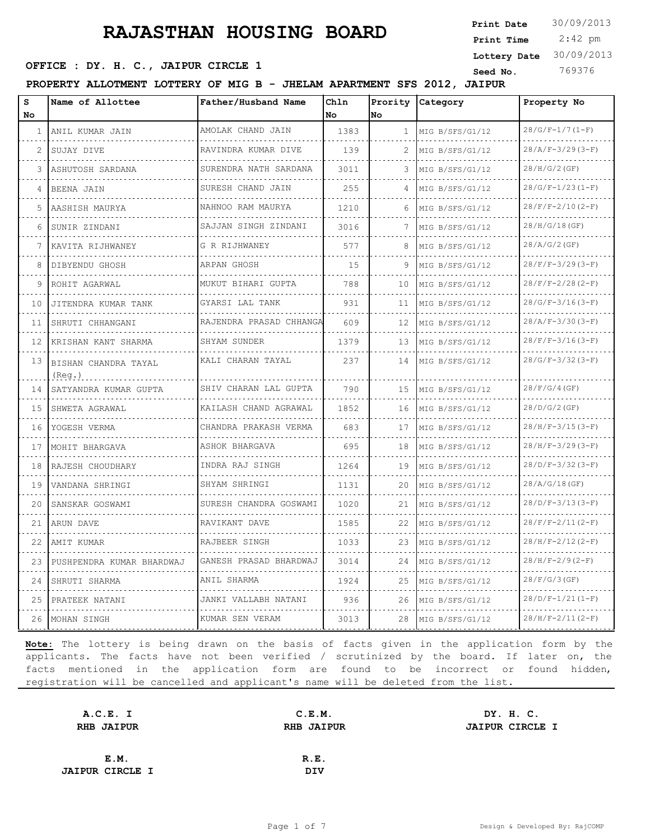2:42 pm **Print Date**  $30/09/2013$ **Print Time Lottery Date** 30/09/2013

### **OFFICE : DY. H. C., JAIPUR CIRCLE 1** Seed No. 769376

**PROPERTY ALLOTMENT LOTTERY OF MIG B - JHELAM APARTMENT SFS 2012, JAIPUR**

| S<br>No | Name of Allottee               | Father/Husband Name         | Chln<br>No | No           | Prority Category     | Property No             |
|---------|--------------------------------|-----------------------------|------------|--------------|----------------------|-------------------------|
| 1       | ANIL KUMAR JAIN                | AMOLAK CHAND JAIN           | 1383       | $\mathbf{1}$ | MIG B/SFS/G1/12      | $28/G/F-1/7(1-F)$       |
| 2       | SUJAY DIVE                     | .<br>RAVINDRA KUMAR DIVE    | 139        | 2            | .<br>MIG B/SFS/G1/12 | $28/A/F-3/29(3-F)$      |
| 3       | ASHUTOSH SARDANA               | .<br>SURENDRA NATH SARDANA  | 3011       | 3            | .<br>MIG B/SFS/G1/12 | 28/H/G/2(GF)            |
| 4       | BEENA JAIN                     | SURESH CHAND JAIN           | 255        |              | MIG B/SFS/G1/12      | $28/G/F-1/23(I-F)$      |
| 5       | AASHISH MAURYA                 | .<br>NAHNOO RAM MAURYA      | 1210       | 6            | MIG B/SFS/G1/12      | $28/F/F-2/10(2-F)$      |
| 6       | SUNIR ZINDANI                  | SAJJAN SINGH ZINDANI<br>.   | 3016       | 7            | MIG B/SFS/G1/12      | 28/H/G/18(GF)           |
| 7       | KAVITA RIJHWANEY               | G R RIJHWANEY<br>.          | 577        | 8            | MIG B/SFS/G1/12      | 28/A/G/2(GF)            |
| 8       | DIBYENDU GHOSH                 | ARPAN GHOSH                 | 15         | 9            | MIG B/SFS/G1/12      | $28/F/F-3/29(3-F)$      |
| 9       | ROHIT AGARWAL                  | MUKUT BIHARI GUPTA          | 788        | 10           | MIG B/SFS/G1/12      | $28/F/F-2/28 (2-F)$     |
| 10      | JITENDRA KUMAR TANK            | GYARSI LAL TANK<br>.        | 931        | 11           | MIG B/SFS/G1/12      | $28/G/F-3/16(3-F)$      |
| 11      | SHRUTI CHHANGANI<br>.          | RAJENDRA PRASAD CHHANGA     | 609        | 12           | MIG B/SFS/G1/12<br>. | $28/A/F-3/30(3-F)$<br>. |
| 12      | KRISHAN KANT SHARMA            | SHYAM SUNDER<br>.           | 1379       | 13           | MIG B/SFS/G1/12      | $28/F/F-3/16(3-F)$      |
| 13      | BISHAN CHANDRA TAYAL<br>(Reg.) | KALI CHARAN TAYAL           | 237        | 14           | MIG B/SFS/G1/12      | $28/G/F-3/32(3-F)$      |
| 14      | SATYANDRA KUMAR GUPTA          | SHIV CHARAN LAL GUPTA       | 790        | 15           | MIG B/SFS/G1/12      | 28/F/G/4(GF)            |
| 1.5     | SHWETA AGRAWAL                 | KAILASH CHAND AGRAWAL<br>.  | 1852       | 16           | MIG B/SFS/G1/12      | 28/D/G/2(GF)            |
| 16      | YOGESH VERMA                   | CHANDRA PRAKASH VERMA       | 683        | 17           | MIG B/SFS/G1/12      | $28/H/F-3/15(3-F)$      |
| 17      | MOHIT BHARGAVA                 | ASHOK BHARGAVA              | 695        | 18           | MIG B/SFS/G1/12      | $28/H/F-3/29(3-F)$      |
| 18      | RAJESH CHOUDHARY               | INDRA RAJ SINGH<br>.        | 1264       | 19           | MIG B/SFS/G1/12      | $28/D/F-3/32(3-F)$      |
| 19      | VANDANA SHRINGI                | SHYAM SHRINGI               | 1131       | 20           | MIG B/SFS/G1/12      | 28/A/G/18(GF)           |
| 20      | SANSKAR GOSWAMI                | SURESH CHANDRA GOSWAMI<br>. | 1020       | 21           | MIG B/SFS/G1/12      | $28/D/F-3/13(3-F)$      |
| 21      | ARUN DAVE                      | RAVIKANT DAVE               | 1585       | 22           | MIG B/SFS/G1/12      | $28/F/F-2/11(2-F)$      |
| 22      | AMIT KUMAR                     | RAJBEER SINGH               | 1033       | 23           | MIG B/SFS/G1/12      | $28/H/F-2/12(2-F)$      |
| 23      | PUSHPENDRA KUMAR BHARDWAJ      | GANESH PRASAD BHARDWAJ      | 3014       | 24           | MIG B/SFS/G1/12      | $28/H/F-2/9(2-F)$       |
| 24      | SHRUTI SHARMA                  | ANIL SHARMA                 | 1924       | 25           | MIG B/SFS/G1/12      | 28/F/G/3(GF)            |
| 25      | PRATEEK NATANI                 | JANKI VALLABH NATANI<br>.   | 936        | 26           | MIG B/SFS/G1/12      | $28/D/F-1/21(1-F)$      |
| 26      | MOHAN SINGH                    | KUMAR SEN VERAM             | 3013       | 28           | MIG B/SFS/G1/12      | $28/H/F-2/11(2-F)$      |

| A.C.E. I               | C.E.M.            | DY. H. C.              |  |
|------------------------|-------------------|------------------------|--|
| <b>RHB JAIPUR</b>      | <b>RHB JAIPUR</b> | <b>JAIPUR CIRCLE I</b> |  |
|                        |                   |                        |  |
| E.M.                   | R.E.              |                        |  |
| <b>JAIPUR CIRCLE I</b> | DIV               |                        |  |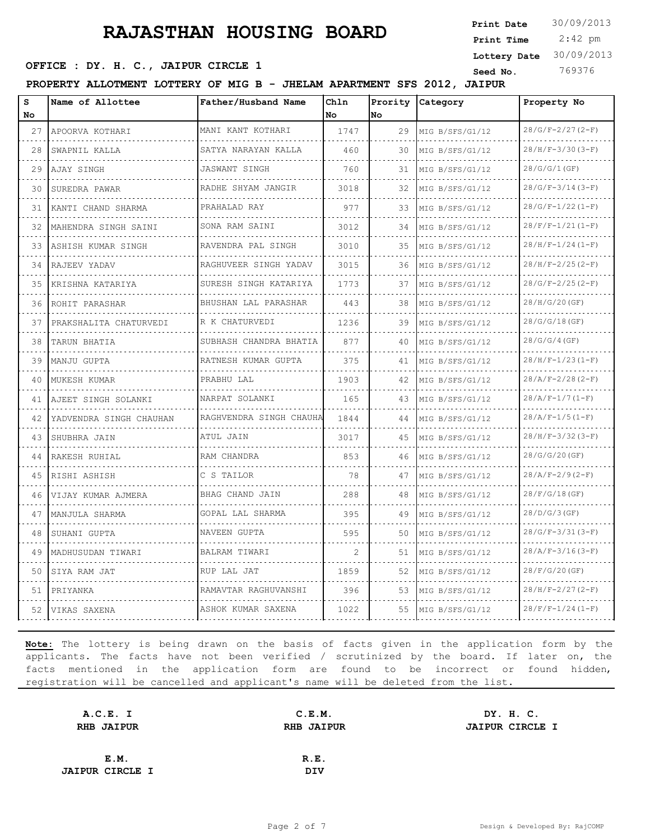2:42 pm **Print Date**  $30/09/2013$ **Print Time Lottery Date** 30/09/2013

### **OFFICE : DY. H. C., JAIPUR CIRCLE 1** Seed No. 369376

**PROPERTY ALLOTMENT LOTTERY OF MIG B - JHELAM APARTMENT SFS 2012, JAIPUR**

| S<br>No | Name of Allottee        | Father/Husband Name        | Chln<br>No | Prority<br>No | Category             | Property No                    |
|---------|-------------------------|----------------------------|------------|---------------|----------------------|--------------------------------|
| 27      | APOORVA KOTHARI<br>.    | MANI KANT KOTHARI<br>.     | 1747       | 29            | MIG B/SFS/G1/12      | $28/G/F-2/27(2-F)$             |
| 28      | SWAPNIL KALLA           | SATYA NARAYAN KALLA        | 460        | 30            | .<br>MIG B/SFS/G1/12 | $28/H/F-3/30 (3-F)$            |
| 29      | AJAY SINGH              | .<br><b>JASWANT SINGH</b>  | 760        | 31            | MIG B/SFS/G1/12      | 28/G/G/1(GF)                   |
| 30      | SUREDRA PAWAR           | RADHE SHYAM JANGIR         | 3018       | 32            | MIG B/SFS/G1/12      | $28/G/F-3/14(3-F)$             |
| 31      | KANTI CHAND SHARMA      | .<br>PRAHALAD RAY          | 977        | 33            | MIG B/SFS/G1/12      | $28/G/F-1/22(1-F)$             |
| 32      | MAHENDRA SINGH SAINI    | .<br>SONA RAM SAINI        | 3012       | 34            | MIG B/SFS/G1/12      | $28/F/F-1/21(1-F)$             |
| 33      | ASHISH KUMAR SINGH      | RAVENDRA PAL SINGH         | 3010       | 35            | MIG B/SFS/G1/12      | $28/H/F-1/24(1-F)$             |
| 34      | RAJEEV YADAV            | RAGHUVEER SINGH YADAV      | 3015       | 36            | MIG B/SFS/G1/12      | $28/H/F-2/25(2-F)$             |
| 35      | KRISHNA KATARIYA        | .<br>SURESH SINGH KATARIYA | 1773       | 37            | MIG B/SFS/G1/12      | $28/G/F-2/25(2-F)$             |
| 36      | ROHIT PARASHAR          | BHUSHAN LAL PARASHAR       | 443        | 38            | MIG B/SFS/G1/12      | 28/H/G/20(GF)                  |
| 37      | PRAKSHALITA CHATURVEDI  | R K CHATURVEDI             | 1236       | 39            | MIG B/SFS/G1/12      | 28/G/G/18 (GF)                 |
| 38      | TARUN BHATIA            | SUBHASH CHANDRA BHATIA     | 877        | 40            | MIG B/SFS/G1/12      | 28/G/G/4(GF)                   |
| 39      | MANJU GUPTA             | RATNESH KUMAR GUPTA        | 375        | 41            | MIG B/SFS/G1/12      | $28/H/F-1/23(I-F)$             |
| 40      | MUKESH KUMAR            | PRABHU LAL                 | 1903       | 42            | MIG B/SFS/G1/12      | <u>.</u><br>$28/A/F-2/28(2-F)$ |
| 41      | AJEET SINGH SOLANKI     | NARPAT SOLANKI             | 165        | 43            | MIG B/SFS/G1/12      | $28/A/F-1/7(1-F)$              |
| 42      | YADVENDRA SINGH CHAUHAN | RAGHVENDRA SINGH CHAUHA    | 1844       | 44            | MIG B/SFS/G1/12      | $28/A/F-1/5(I-F)$              |
| 43      | SHUBHRA JAIN            | ATUL JAIN                  | 3017       | 45            | MIG B/SFS/G1/12      | $28/H/F-3/32 (3-F)$            |
| 44      | RAKESH RUHIAL           | RAM CHANDRA                | 853        | 46            | MIG B/SFS/G1/12      | 28/G/G/20(GF)                  |
| 45      | RISHI ASHISH            | C S TAILOR                 | 78         | 47            | MIG B/SFS/G1/12      | $28/A/F-2/9(2-F)$              |
| 46      | VIJAY KUMAR AJMERA      | BHAG CHAND JAIN            | 288        | 48            | MIG B/SFS/G1/12      | 28/F/G/18(GF)                  |
| 47      | MANJULA SHARMA          | GOPAL LAL SHARMA           | 395        | 49            | MIG B/SFS/G1/12      | 28/D/G/3(GF)                   |
| 48      | SUHANI GUPTA            | <u>.</u><br>NAVEEN GUPTA   | 595        | 50            | MIG B/SFS/G1/12      | $28/G/F-3/31(3-F)$             |
| 49      | MADHUSUDAN TIWARI       | BALRAM TIWARI              | 2          | 51            | MIG B/SFS/G1/12      | $28/A/F-3/16(3-F)$             |
| 50      | SIYA RAM JAT            | RUP LAL JAT                | 1859       | 52            | MIG B/SFS/G1/12      | $28/F/G/20$ (GF)               |
| 51      | PRIYANKA                | RAMAVTAR RAGHUVANSHI       | 396        | 53            | MIG B/SFS/G1/12      | $28/H/F-2/27(2-F)$             |
| 52      | VIKAS SAXENA            | ASHOK KUMAR SAXENA         | 1022       | 55            | MIG B/SFS/G1/12      | $28/F/F-1/24(1-F)$             |

| A.C.E. I               | C.E.M.            | DY. H. C.              |
|------------------------|-------------------|------------------------|
| <b>RHB JAIPUR</b>      | <b>RHB JAIPUR</b> | <b>JAIPUR CIRCLE I</b> |
|                        |                   |                        |
| E.M.                   | R.E.              |                        |
| <b>JAIPUR CIRCLE I</b> | <b>DIV</b>        |                        |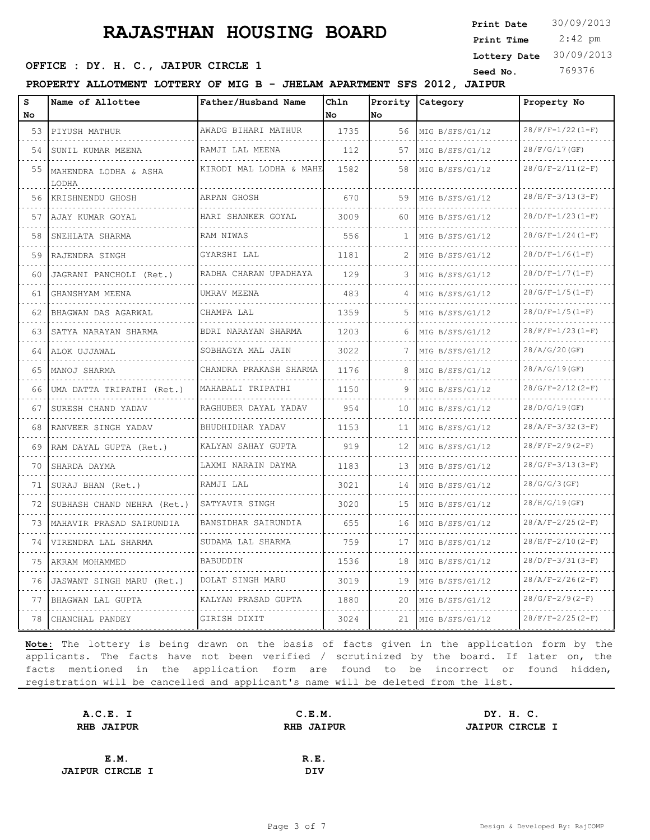**OFFICE : DY. H. C., JAIPUR CIRCLE 1** Seed No. 369376

| s  | Name of Allottee               | Father/Husband Name       | Ch1n      |    | Prority Category | Property No        |
|----|--------------------------------|---------------------------|-----------|----|------------------|--------------------|
| No |                                |                           | <b>No</b> | No |                  |                    |
| 53 | PIYUSH MATHUR                  | AWADG BIHARI MATHUR       | 1735      | 56 | MIG B/SFS/G1/12  | $28/F/F-1/22(1-F)$ |
| 54 | SUNIL KUMAR MEENA              | RAMJI LAL MEENA           | 112       | 57 | MIG B/SFS/G1/12  | 28/F/G/17(GF)      |
| 55 | MAHENDRA LODHA & ASHA<br>LODHA | KIRODI MAL LODHA & MAHE   | 1582      | 58 | MIG B/SFS/G1/12  | $28/G/F-2/11(2-F)$ |
| 56 | KRISHNENDU GHOSH               | ARPAN GHOSH               | 670       | 59 | MIG B/SFS/G1/12  | $28/H/F-3/13(3-F)$ |
| 57 | AJAY KUMAR GOYAL               | HARI SHANKER GOYAL        | 3009      | 60 | MIG B/SFS/G1/12  | $28/D/F-1/23(I-F)$ |
| 58 | SNEHLATA SHARMA                | RAM NIWAS                 | 556       |    | MIG B/SFS/G1/12  | $28/G/F-1/24(I-F)$ |
| 59 | RAJENDRA SINGH                 | GYARSHI LAL               | 1181      | 2  | MIG B/SFS/G1/12  | $28/D/F-1/6(1-F)$  |
| 60 | JAGRANI PANCHOLI (Ret.)        | RADHA CHARAN UPADHAYA     | 129       | 3  | MIG B/SFS/G1/12  | $28/D/F-1/7(1-F)$  |
| 61 | GHANSHYAM MEENA                | UMRAV MEENA               | 483       | 4  | MIG B/SFS/G1/12  | $28/G/F-1/5(I-F)$  |
| 62 | BHAGWAN DAS AGARWAL            | CHAMPA LAL                | 1359      | 5  | MIG B/SFS/G1/12  | $28/D/F-1/5(I-F)$  |
| 63 | SATYA NARAYAN SHARMA           | BDRI NARAYAN SHARMA       | 1203      | 6  | MIG B/SFS/G1/12  | $28/F/F-1/23(I-F)$ |
| 64 | ALOK UJJAWAL<br>.              | SOBHAGYA MAL JAIN<br>.    | 3022      |    | MIG B/SFS/G1/12  | 28/A/G/20(GF)      |
| 65 | MANOJ SHARMA                   | CHANDRA PRAKASH SHARMA    | 1176      | 8  | MIG B/SFS/G1/12  | 28/A/G/19(GF)      |
| 66 | UMA DATTA TRIPATHI (Ret.)      | MAHABALI TRIPATHI         | 1150      | 9  | MIG B/SFS/G1/12  | $28/G/F-2/12(2-F)$ |
| 67 | SURESH CHAND YADAV             | RAGHUBER DAYAL YADAV<br>. | 954       | 10 | MIG B/SFS/G1/12  | 28/D/G/19(GF)      |
| 68 | RANVEER SINGH YADAV            | BHUDHIDHAR YADAV          | 1153      | 11 | MIG B/SFS/G1/12  | $28/A/F-3/32(3-F)$ |
| 69 | RAM DAYAL GUPTA (Ret.)         | KALYAN SAHAY GUPTA        | 919       | 12 | MIG B/SFS/G1/12  | $28/F/F-2/9(2-F)$  |
| 70 | SHARDA DAYMA                   | LAXMI NARAIN DAYMA        | 1183      | 13 | MIG B/SFS/G1/12  | $28/G/F-3/13(3-F)$ |
| 71 | SURAJ BHAN (Ret.)              | RAMJI LAL                 | 3021      | 14 | MIG B/SFS/G1/12  | 28/G/G/3(GF)       |
| 72 | SUBHASH CHAND NEHRA (Ret.)     | SATYAVIR SINGH            | 3020      | 15 | MIG B/SFS/G1/12  | 28/H/G/19(GF)      |
| 73 | MAHAVIR PRASAD SAIRUNDIA       | BANSIDHAR SAIRUNDIA       | 655       | 16 | MIG B/SFS/G1/12  | $28/A/F-2/25(2-F)$ |
| 74 | VIRENDRA LAL SHARMA            | SUDAMA LAL SHARMA         | 759       | 17 | MIG B/SFS/G1/12  | $28/H/F-2/10(2-F)$ |
| 75 | AKRAM MOHAMMED                 | BABUDDIN                  | 1536      | 18 | MIG B/SFS/G1/12  | $28/D/F-3/31(3-F)$ |
| 76 | JASWANT SINGH MARU (Ret.)      | DOLAT SINGH MARU          | 3019      | 19 | MIG B/SFS/G1/12  | $28/A/F-2/26(2-F)$ |
| 77 | BHAGWAN LAL GUPTA              | KALYAN PRASAD GUPTA       | 1880      | 20 | MIG B/SFS/G1/12  | $28/G/F-2/9(2-F)$  |
| 78 | CHANCHAL PANDEY                | GIRISH DIXIT              | 3024      | 21 | MIG B/SFS/G1/12  | $28/F/F-2/25(2-F)$ |

**Note:** The lottery is being drawn on the basis of facts given in the application form by the applicants. The facts have not been verified / scrutinized by the board. If later on, the facts mentioned in the application form are found to be incorrect or found hidden, registration will be cancelled and applicant's name will be deleted from the list.

| A.C.E. I               | C.E.M.            | DY. H. C.              |  |
|------------------------|-------------------|------------------------|--|
| <b>RHB JAIPUR</b>      | <b>RHB JAIPUR</b> | <b>JAIPUR CIRCLE I</b> |  |
|                        |                   |                        |  |
| E.M.                   | R.E.              |                        |  |
| <b>JAIPUR CIRCLE I</b> | DIV               |                        |  |

 2:42 pm **Print Date**  $30/09/2013$ **Print Time Lottery Date** 30/09/2013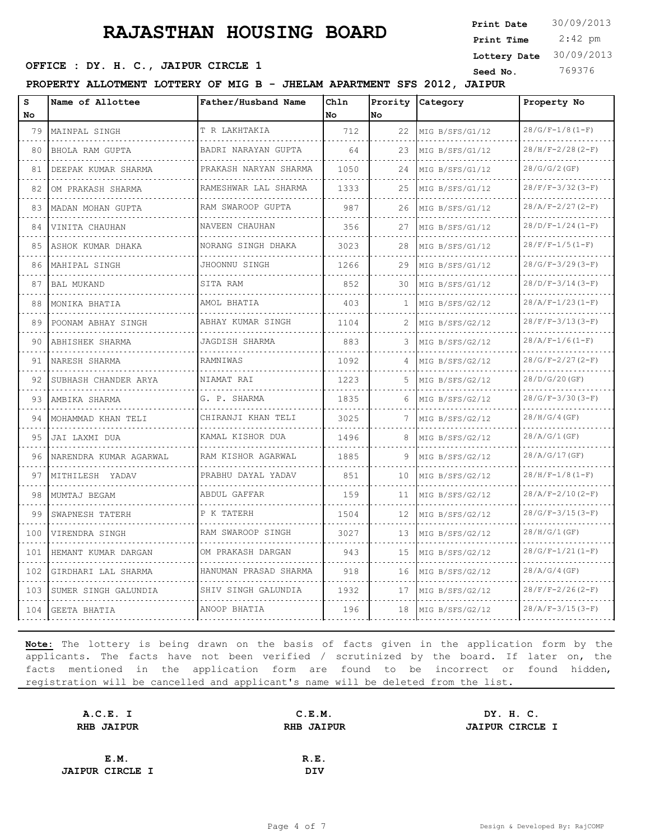2:42 pm **Print Date**  $30/09/2013$ **Print Time Lottery Date** 30/09/2013

### **OFFICE : DY. H. C., JAIPUR CIRCLE 1** Seed No. 369376

**PROPERTY ALLOTMENT LOTTERY OF MIG B - JHELAM APARTMENT SFS 2012, JAIPUR**

| s<br><b>No</b> | Name of Allottee            | Father/Husband Name      | Chln<br>No. | <b>No</b>    | Prority Category     | Property No        |
|----------------|-----------------------------|--------------------------|-------------|--------------|----------------------|--------------------|
| 79             | MAINPAL SINGH               | T R LAKHTAKIA            | 712         | 22           | MIG B/SFS/G1/12      | $28/G/F-1/8(I-F)$  |
| 80             | BHOLA RAM GUPTA             | .<br>BADRI NARAYAN GUPTA | 64          | 23           | .<br>MIG B/SFS/G1/12 | $28/H/F-2/28(2-F)$ |
| 81             | DEEPAK KUMAR SHARMA         | PRAKASH NARYAN SHARMA    | 1050        | 24           | MIG B/SFS/G1/12      | 28/G/G/2(GF)       |
| 82             | OM PRAKASH SHARMA           | RAMESHWAR LAL SHARMA     | 1333        | 25.          | MIG B/SFS/G1/12      | $28/F/F-3/32(3-F)$ |
| 83             | MADAN MOHAN GUPTA           | RAM SWAROOP GUPTA        | 987         | 26           | MIG B/SFS/G1/12      | $28/A/F-2/27(2-F)$ |
| 84             | VINITA CHAUHAN              | NAVEEN CHAUHAN           | 356         | 27           | MIG B/SFS/G1/12      | $28/D/F-1/24(1-F)$ |
| 85             | ASHOK KUMAR DHAKA           | NORANG SINGH DHAKA       | 3023        | 28           | MIG B/SFS/G1/12      | $28/F/F-1/5(1-F)$  |
| 86             | MAHIPAL SINGH               | JHOONNU SINGH            | 1266        | 29           | MIG B/SFS/G1/12      | $28/G/F-3/29(3-F)$ |
| 87             | <b>BAL MUKAND</b>           | SITA RAM                 | 852         | 30           | MIG B/SFS/G1/12      | $28/D/F-3/14(3-F)$ |
| 88             | MONIKA BHATIA               | AMOL BHATIA              | 403         | $\mathbf{1}$ | MIG B/SFS/G2/12      | $28/A/F-1/23(I-F)$ |
| 89             | POONAM ABHAY SINGH          | ABHAY KUMAR SINGH        | 1104        |              | MIG B/SFS/G2/12      | $28/F/F-3/13(3-F)$ |
| 90             | ABHISHEK SHARMA             | JAGDISH SHARMA           | 883         | 3.           | MIG B/SFS/G2/12      | $28/A/F-1/6(I-F)$  |
| 91             | NARESH SHARMA               | RAMNIWAS                 | 1092        | 4            | MIG B/SFS/G2/12      | $28/G/F-2/27(2-F)$ |
| 92             | SUBHASH CHANDER ARYA        | NIAMAT RAI               | 1223        | .5.          | MIG B/SFS/G2/12      | 28/D/G/20(GF)      |
| 93             | AMBIKA SHARMA               | G. P. SHARMA             | 1835        | 6            | MIG B/SFS/G2/12      | $28/G/F-3/30(3-F)$ |
| 94             | MOHAMMAD KHAN TELI          | CHIRANJI KHAN TELI       | 3025        | 7            | MIG B/SFS/G2/12      | 28/H/G/4(GF)       |
| 95             | JAI LAXMI DUA               | KAMAL KISHOR DUA         | 1496        | 8            | MIG B/SFS/G2/12      | 28/A/G/1(GF)       |
| 96             | NARENDRA KUMAR AGARWAL<br>. | RAM KISHOR AGARWAL       | 1885        | 9            | MIG B/SFS/G2/12      | 28/A/G/17(GF)      |
| 97             | MITHILESH YADAV             | PRABHU DAYAL YADAV       | 851         | 10           | MIG B/SFS/G2/12      | $28/H/F-1/8(I-F)$  |
| 98             | MUMTAJ BEGAM                | ABDUL GAFFAR             | 159         | 11           | MIG B/SFS/G2/12      | $28/A/F-2/10(2-F)$ |
| 99             | SWAPNESH TATERH             | P K TATERH               | 1504        | 12           | MIG B/SFS/G2/12      | $28/G/F-3/15(3-F)$ |
| 100            | VIRENDRA SINGH              | RAM SWAROOP SINGH        | 3027        | 13           | MIG B/SFS/G2/12      | 28/H/G/1(GF)       |
| 101            | HEMANT KUMAR DARGAN         | OM PRAKASH DARGAN        | 943         | 1.5          | MIG B/SFS/G2/12      | $28/G/F-1/21(I-F)$ |
| 102            | GIRDHARI LAL SHARMA         | HANUMAN PRASAD SHARMA    | 918         | 16           | MIG B/SFS/G2/12      | 28/A/G/4(GF)       |
| 103            | SUMER SINGH GALUNDIA        | SHIV SINGH GALUNDIA      | 1932        | 17           | MIG B/SFS/G2/12      | $28/F/F-2/26(2-F)$ |
| 104            | GEETA BHATIA                | ANOOP BHATIA             | 196         | 18           | MIG B/SFS/G2/12      | $28/A/F-3/15(3-F)$ |

| A.C.E. I               | C.E.M.            | DY. H. C.              |
|------------------------|-------------------|------------------------|
| <b>RHB JAIPUR</b>      | <b>RHB JAIPUR</b> | <b>JAIPUR CIRCLE I</b> |
|                        |                   |                        |
| E.M.                   | R.E.              |                        |
| <b>JAIPUR CIRCLE I</b> | <b>DIV</b>        |                        |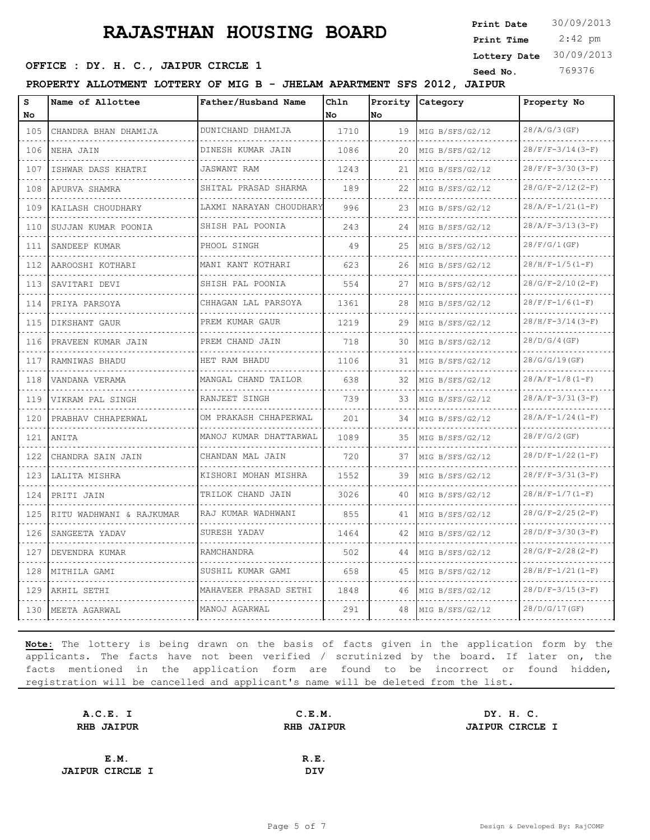**PROPERTY ALLOTMENT LOTTERY OF MIG B - JHELAM APARTMENT SFS 2012, JAIPUR**

| s        | Name of Allottee         | Father/Husband Name        | Ch1n |     | Prority Category | Property No         |
|----------|--------------------------|----------------------------|------|-----|------------------|---------------------|
| No       |                          |                            | No   | No. |                  |                     |
| 105      | CHANDRA BHAN DHAMIJA     | DUNICHAND DHAMIJA<br>.     | 1710 | 19  | MIG B/SFS/G2/12  | 28/A/G/3(GF)        |
| 106      | NEHA JAIN                | DINESH KUMAR JAIN          | 1086 | 20  | MIG B/SFS/G2/12  | $28/F/F-3/14(3-F)$  |
| 107      | ISHWAR DASS KHATRI       | <b>JASWANT RAM</b>         | 1243 | 21  | MIG B/SFS/G2/12  | $28/F/F-3/30(3-F)$  |
| 108      | APURVA SHAMRA            | SHITAL PRASAD SHARMA<br>.  | 189  | 22  | MIG B/SFS/G2/12  | $28/G/F-2/12(2-F)$  |
| 109      | KAILASH CHOUDHARY        | LAXMI NARAYAN CHOUDHARY    | 996  | 23  | MIG B/SFS/G2/12  | $28/A/F-1/21(I-F)$  |
| 110<br>. | SUJJAN KUMAR POONIA      | SHISH PAL POONIA           | 243  | 24  | MIG B/SFS/G2/12  | $28/A/F-3/13(3-F)$  |
| 111<br>. | SANDEEP KUMAR            | PHOOL SINGH                | 49   | 25  | MIG B/SFS/G2/12  | 28/F/G/1(GF)        |
| 112      | AAROOSHI KOTHARI         | MANI KANT KOTHARI          | 623  | 26  | MIG B/SFS/G2/12  | $28/H/F-1/5(1-F)$   |
| 113<br>. | SAVITARI DEVI            | SHISH PAL POONIA           | 554  | 27  | MIG B/SFS/G2/12  | $28/G/F-2/10(2-F)$  |
| 114<br>. | PRIYA PARSOYA            | CHHAGAN LAL PARSOYA<br>.   | 1361 | 28  | MIG B/SFS/G2/12  | $28/F/F-1/6(1-F)$   |
| 115      | DIKSHANT GAUR            | PREM KUMAR GAUR            | 1219 | 29  | MIG B/SFS/G2/12  | $28/H/F-3/14(3-F)$  |
| 116<br>. | PRAVEEN KUMAR JAIN       | PREM CHAND JAIN            | 718  | 30  | MIG B/SFS/G2/12  | 28/D/G/4(GF)        |
| 117<br>. | RAMNIWAS BHADU           | HET RAM BHADU              | 1106 | 31  | MIG B/SFS/G2/12  | 28/G/G/19(GF)       |
| 118      | VANDANA VERAMA           | MANGAL CHAND TAILOR        | 638  | 32  | MIG B/SFS/G2/12  | $28/A/F-1/8(I-F)$   |
| 119<br>. | VIKRAM PAL SINGH         | RANJEET SINGH              | 739  | 33  | MIG B/SFS/G2/12  | $28/A/F-3/31(3-F)$  |
| 120<br>. | PRABHAV CHHAPERWAL       | OM PRAKASH CHHAPERWAL<br>. | 201  | 34  | MIG B/SFS/G2/12  | $28/A/F-1/24 (1-F)$ |
| 121      | ANITA                    | MANOJ KUMAR DHATTARWAL     | 1089 | 35  | MIG B/SFS/G2/12  | 28/F/G/2(GF)        |
| 122<br>. | CHANDRA SAIN JAIN        | CHANDAN MAL JAIN           | 720  | 37  | MIG B/SFS/G2/12  | $28/D/F-1/22(1-F)$  |
| 123<br>. | LALITA MISHRA<br>.       | KISHORI MOHAN MISHRA       | 1552 | 39  | MIG B/SFS/G2/12  | $28/F/F-3/31(3-F)$  |
| 124      | PRITI JAIN               | TRILOK CHAND JAIN          | 3026 | 40  | MIG B/SFS/G2/12  | $28/H/F-1/7(1-F)$   |
| 125<br>. | RITU WADHWANI & RAJKUMAR | RAJ KUMAR WADHWANI         | 855  | 41  | MIG B/SFS/G2/12  | $28/G/F-2/25(2-F)$  |
| 126<br>. | SANGEETA YADAV           | SURESH YADAV               | 1464 | 42  | MIG B/SFS/G2/12  | $28/D/F-3/30(3-F)$  |
| 127      | DEVENDRA KUMAR           | RAMCHANDRA                 | 502  | 44  | MIG B/SFS/G2/12  | $28/G/F-2/28(2-F)$  |
| 128<br>. | MITHILA GAMI             | SUSHIL KUMAR GAMI          | 658  | 45  | MIG B/SFS/G2/12  | $28/H/F-1/21(I-F)$  |
| 129      | AKHIL SETHI              | MAHAVEER PRASAD SETHI      | 1848 | 46  | MIG B/SFS/G2/12  | $28/D/F-3/15(3-F)$  |
| 130      | MEETA AGARWAL            | MANOJ AGARWAL              | 291  | 48  | MIG B/SFS/G2/12  | 28/D/G/17(GF)       |

**Note:** The lottery is being drawn on the basis of facts given in the application form by the applicants. The facts have not been verified / scrutinized by the board. If later on, the facts mentioned in the application form are found to be incorrect or found hidden, registration will be cancelled and applicant's name will be deleted from the list.

| A.C.E. I               | C.E.M.            | DY. H. C.              |
|------------------------|-------------------|------------------------|
| <b>RHB JAIPUR</b>      | <b>RHB JAIPUR</b> | <b>JAIPUR CIRCLE I</b> |
|                        |                   |                        |
| E.M.                   | R.E.              |                        |
| <b>JAIPUR CIRCLE I</b> | <b>DIV</b>        |                        |

### **OFFICE : DY. H. C., JAIPUR CIRCLE 1** Seed No. 369376

 2:42 pm **Print Date**  $30/09/2013$ **Print Time Lottery Date** 30/09/2013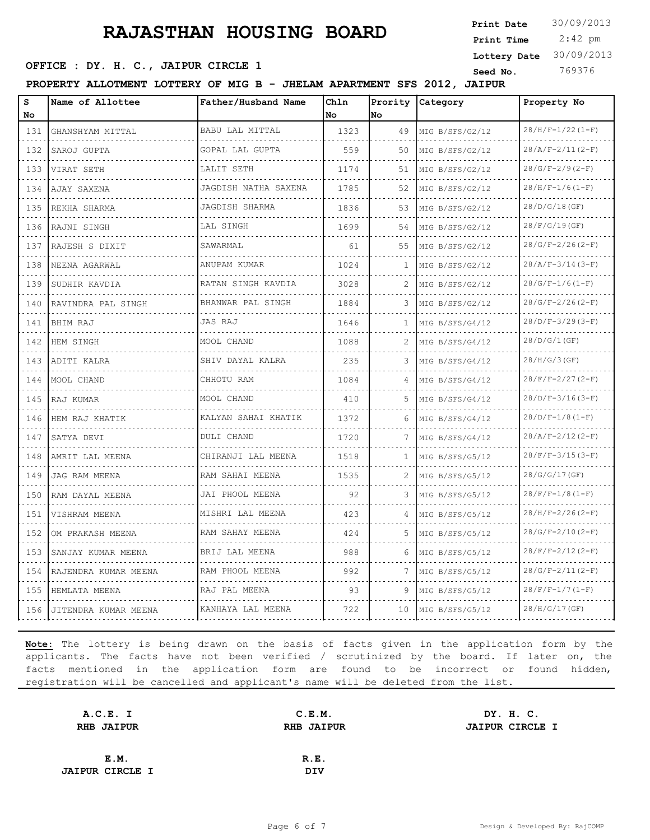2:42 pm **Print Date**  $30/09/2013$ **Print Time Lottery Date** 30/09/2013

### **OFFICE : DY. H. C., JAIPUR CIRCLE 1** Seed No. 369376

**PROPERTY ALLOTMENT LOTTERY OF MIG B - JHELAM APARTMENT SFS 2012, JAIPUR**

| S<br>No                            | Name of Allottee     | Father/Husband Name   | Chln<br>No | Prority<br>lNo. | Category                                 | Property No                    |
|------------------------------------|----------------------|-----------------------|------------|-----------------|------------------------------------------|--------------------------------|
| 131                                | GHANSHYAM MITTAL     | BABU LAL MITTAL       | 1323       | 49              | MIG B/SFS/G2/12                          | $28/H/F-1/22(I-F)$             |
| .<br>132                           | SAROJ GUPTA          | .<br>GOPAL LAL GUPTA  | 559        | 50              | .<br>MIG B/SFS/G2/12                     | .<br>$28/A/F-2/11(2-F)$        |
| 133                                | VIRAT SETH           | .<br>LALIT SETH       | 1174       | 51              | MIG B/SFS/G2/12                          | $28/G/F-2/9(2-F)$              |
| 134                                | AJAY SAXENA          | JAGDISH NATHA SAXENA  | 1785       | 52              | MIG B/SFS/G2/12                          | $28/H/F-1/6(1-F)$              |
| 135                                | REKHA SHARMA         | .<br>JAGDISH SHARMA   | 1836       | 53              | .<br>MIG B/SFS/G2/12                     | 28/D/G/18(GF)                  |
| 136                                | RAJNI SINGH          | LAL SINGH             | 1699       | 54              | MIG B/SFS/G2/12                          | 28/F/G/19(GF)                  |
| 137                                | RAJESH S DIXIT       | SAWARMAL              | 61         | 55              | MIG B/SFS/G2/12                          | $28/G/F-2/26(2-F)$             |
| .<br>138                           | NEENA AGARWAL        | ANUPAM KUMAR          | 1024       | 1               | .<br>MIG B/SFS/G2/12                     | <u>.</u><br>$28/A/F-3/14(3-F)$ |
| 139                                | SUDHIR KAVDIA        | RATAN SINGH KAVDIA    | 3028       | 2               | MIG B/SFS/G2/12                          | $28/G/F-1/6(I-F)$              |
| 140                                | RAVINDRA PAL SINGH   | BHANWAR PAL SINGH     | 1884       | 3               | MIG B/SFS/G2/12                          | $28/G/F-2/26(2-F)$             |
| $  -$<br>141                       | BHIM RAJ             | JAS RAJ               | 1646       | $\mathbf{1}$    | decembra de caracterí<br>MIG B/SFS/G4/12 | $28/D/F-3/29(3-F)$             |
| 142                                | HEM SINGH            | MOOL CHAND            | 1088       | 2               | MIG B/SFS/G4/12                          | 28/D/G/1(GF)                   |
| 143                                | ADITI KALRA          | SHIV DAYAL KALRA      | 235        | 3               | MIG B/SFS/G4/12                          | 28/H/G/3(GF)                   |
| $\sim$ $\sim$ $\sim$ $\sim$<br>144 | MOOL CHAND           | .<br>CHHOTU RAM       | 1084       |                 | MIG B/SFS/G4/12                          | $28/F/F-2/27(2-F)$             |
| 145                                | RAJ KUMAR            | MOOL CHAND            | 410        | 5               | MIG B/SFS/G4/12                          | $28/D/F-3/16(3-F)$             |
| 146                                | HEM RAJ KHATIK       | KALYAN SAHAI KHATIK   | 1372       | 6               | MIG B/SFS/G4/12                          | $28/D/F-1/8(1-F)$              |
| $\sim$ $\sim$ $\sim$ $\sim$<br>147 | SATYA DEVI           | DULI CHAND            | 1720       |                 | MIG B/SFS/G4/12                          | $28/A/F-2/12(2-F)$             |
| 148                                | AMRIT LAL MEENA      | CHIRANJI LAL MEENA    | 1518       | 1               | MIG B/SFS/G5/12                          | $28/F/F-3/15(3-F)$             |
| 149                                | JAG RAM MEENA        | RAM SAHAI MEENA       | 1535       | 2               | MIG B/SFS/G5/12                          | 28/G/G/17(GF)                  |
| .<br>150                           | RAM DAYAL MEENA      | .<br>JAI PHOOL MEENA  | 92         | 3               | MIG B/SFS/G5/12                          | $28/F/F-1/8 (1-F)$             |
| 151                                | VISHRAM MEENA        | .<br>MISHRI LAL MEENA | 423        | 4               | MIG B/SFS/G5/12                          | $28/H/F-2/26(2-F)$             |
| 152                                | OM PRAKASH MEENA     | RAM SAHAY MEENA       | 424        | 5               | MIG B/SFS/G5/12                          | $28/G/F-2/10(2-F)$             |
| الدالد الدالدا<br>153              | SANJAY KUMAR MEENA   | .<br>BRIJ LAL MEENA   | 988        | 6               | MIG B/SFS/G5/12                          | $28/F/F-2/12(2-F)$             |
| 154                                | RAJENDRA KUMAR MEENA | RAM PHOOL MEENA       | 992        | 7               | MIG B/SFS/G5/12                          | $28/G/F-2/11(2-F)$             |
| $  -$<br>155                       | HEMLATA MEENA        | RAJ PAL MEENA         | 93         | 9               | MIG B/SFS/G5/12                          | $28/F/F-1/7(1-F)$              |
| .<br>156                           | JITENDRA KUMAR MEENA | KANHAYA LAL MEENA     | 722        | 10              | MIG B/SFS/G5/12                          | 28/H/G/17(GF)                  |

| A.C.E. I               | C.E.M.            | DY. H. C.              |
|------------------------|-------------------|------------------------|
| <b>RHB JAIPUR</b>      | <b>RHB JAIPUR</b> | <b>JAIPUR CIRCLE I</b> |
|                        |                   |                        |
| E.M.                   | R.E.              |                        |
| <b>JAIPUR CIRCLE I</b> | <b>DIV</b>        |                        |